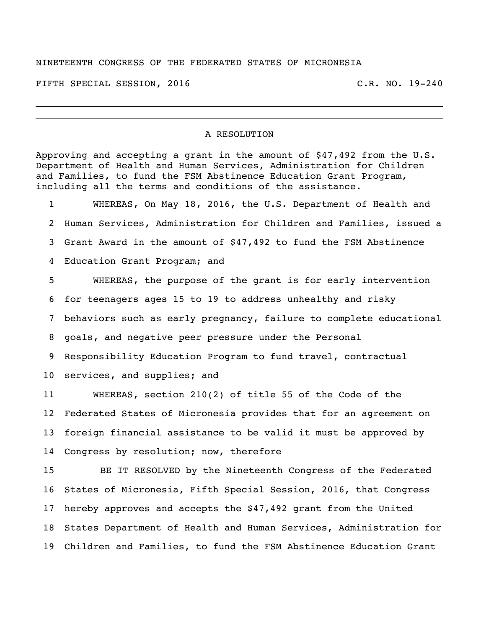## NINETEENTH CONGRESS OF THE FEDERATED STATES OF MICRONESIA

FIFTH SPECIAL SESSION, 2016 C.R. NO. 19-240

## A RESOLUTION

Approving and accepting a grant in the amount of \$47,492 from the U.S. Department of Health and Human Services, Administration for Children and Families, to fund the FSM Abstinence Education Grant Program, including all the terms and conditions of the assistance.

 WHEREAS, On May 18, 2016, the U.S. Department of Health and Human Services, Administration for Children and Families, issued a Grant Award in the amount of \$47,492 to fund the FSM Abstinence Education Grant Program; and WHEREAS, the purpose of the grant is for early intervention for teenagers ages 15 to 19 to address unhealthy and risky behaviors such as early pregnancy, failure to complete educational goals, and negative peer pressure under the Personal Responsibility Education Program to fund travel, contractual services, and supplies; and WHEREAS, section 210(2) of title 55 of the Code of the

 Federated States of Micronesia provides that for an agreement on foreign financial assistance to be valid it must be approved by Congress by resolution; now, therefore

 BE IT RESOLVED by the Nineteenth Congress of the Federated States of Micronesia, Fifth Special Session, 2016, that Congress hereby approves and accepts the \$47,492 grant from the United States Department of Health and Human Services, Administration for Children and Families, to fund the FSM Abstinence Education Grant